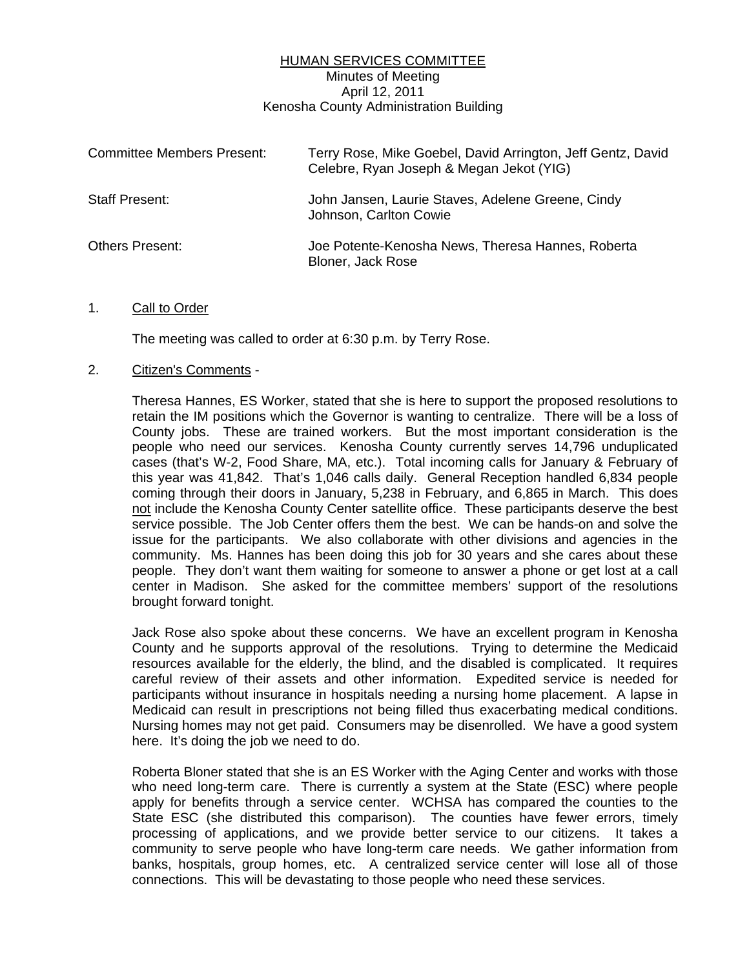## HUMAN SERVICES COMMITTEE Minutes of Meeting April 12, 2011 Kenosha County Administration Building

| <b>Committee Members Present:</b> | Terry Rose, Mike Goebel, David Arrington, Jeff Gentz, David<br>Celebre, Ryan Joseph & Megan Jekot (YIG) |
|-----------------------------------|---------------------------------------------------------------------------------------------------------|
| Staff Present:                    | John Jansen, Laurie Staves, Adelene Greene, Cindy<br>Johnson, Carlton Cowie                             |
| Others Present:                   | Joe Potente-Kenosha News, Theresa Hannes, Roberta<br>Bloner, Jack Rose                                  |

#### 1. Call to Order

The meeting was called to order at 6:30 p.m. by Terry Rose.

## 2. Citizen's Comments -

 Theresa Hannes, ES Worker, stated that she is here to support the proposed resolutions to retain the IM positions which the Governor is wanting to centralize. There will be a loss of County jobs. These are trained workers. But the most important consideration is the people who need our services. Kenosha County currently serves 14,796 unduplicated cases (that's W-2, Food Share, MA, etc.). Total incoming calls for January & February of this year was 41,842. That's 1,046 calls daily. General Reception handled 6,834 people coming through their doors in January, 5,238 in February, and 6,865 in March. This does not include the Kenosha County Center satellite office. These participants deserve the best service possible. The Job Center offers them the best. We can be hands-on and solve the issue for the participants. We also collaborate with other divisions and agencies in the community. Ms. Hannes has been doing this job for 30 years and she cares about these people. They don't want them waiting for someone to answer a phone or get lost at a call center in Madison. She asked for the committee members' support of the resolutions brought forward tonight.

 Jack Rose also spoke about these concerns. We have an excellent program in Kenosha County and he supports approval of the resolutions. Trying to determine the Medicaid resources available for the elderly, the blind, and the disabled is complicated. It requires careful review of their assets and other information. Expedited service is needed for participants without insurance in hospitals needing a nursing home placement. A lapse in Medicaid can result in prescriptions not being filled thus exacerbating medical conditions. Nursing homes may not get paid. Consumers may be disenrolled. We have a good system here. It's doing the job we need to do.

 Roberta Bloner stated that she is an ES Worker with the Aging Center and works with those who need long-term care. There is currently a system at the State (ESC) where people apply for benefits through a service center. WCHSA has compared the counties to the State ESC (she distributed this comparison). The counties have fewer errors, timely processing of applications, and we provide better service to our citizens. It takes a community to serve people who have long-term care needs. We gather information from banks, hospitals, group homes, etc. A centralized service center will lose all of those connections. This will be devastating to those people who need these services.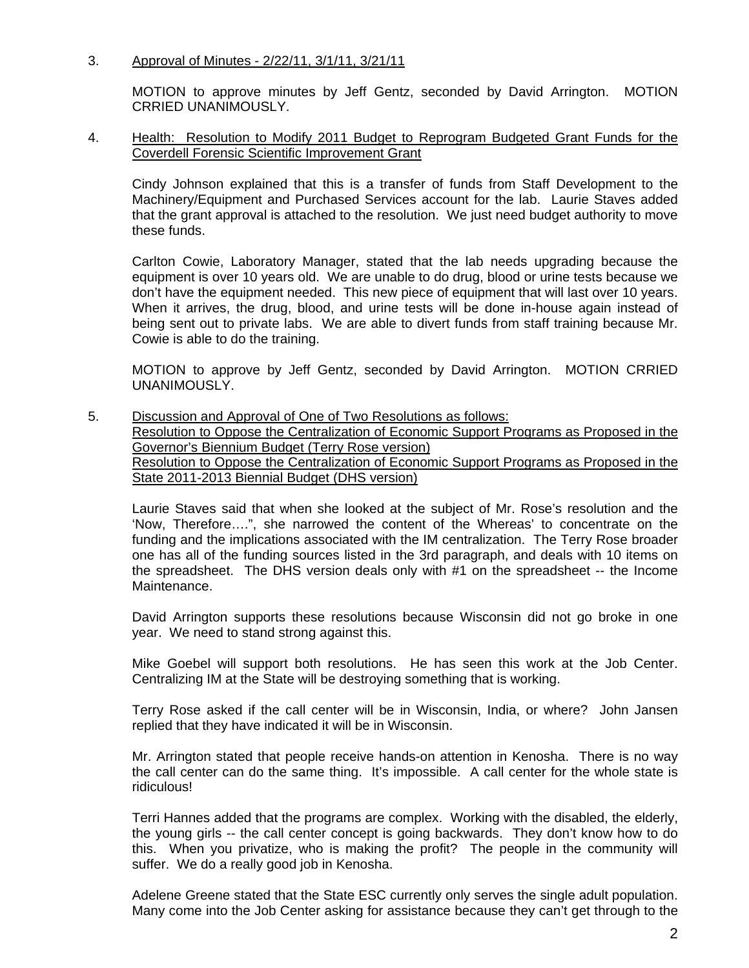# 3. Approval of Minutes - 2/22/11, 3/1/11, 3/21/11

 MOTION to approve minutes by Jeff Gentz, seconded by David Arrington. MOTION CRRIED UNANIMOUSLY.

## 4. Health: Resolution to Modify 2011 Budget to Reprogram Budgeted Grant Funds for the Coverdell Forensic Scientific Improvement Grant

 Cindy Johnson explained that this is a transfer of funds from Staff Development to the Machinery/Equipment and Purchased Services account for the lab. Laurie Staves added that the grant approval is attached to the resolution. We just need budget authority to move these funds.

 Carlton Cowie, Laboratory Manager, stated that the lab needs upgrading because the equipment is over 10 years old. We are unable to do drug, blood or urine tests because we don't have the equipment needed. This new piece of equipment that will last over 10 years. When it arrives, the drug, blood, and urine tests will be done in-house again instead of being sent out to private labs. We are able to divert funds from staff training because Mr. Cowie is able to do the training.

 MOTION to approve by Jeff Gentz, seconded by David Arrington. MOTION CRRIED UNANIMOUSLY.

5. Discussion and Approval of One of Two Resolutions as follows: Resolution to Oppose the Centralization of Economic Support Programs as Proposed in the Governor's Biennium Budget (Terry Rose version) Resolution to Oppose the Centralization of Economic Support Programs as Proposed in the State 2011-2013 Biennial Budget (DHS version)

 Laurie Staves said that when she looked at the subject of Mr. Rose's resolution and the 'Now, Therefore….", she narrowed the content of the Whereas' to concentrate on the funding and the implications associated with the IM centralization. The Terry Rose broader one has all of the funding sources listed in the 3rd paragraph, and deals with 10 items on the spreadsheet. The DHS version deals only with #1 on the spreadsheet -- the Income Maintenance.

 David Arrington supports these resolutions because Wisconsin did not go broke in one year. We need to stand strong against this.

 Mike Goebel will support both resolutions. He has seen this work at the Job Center. Centralizing IM at the State will be destroying something that is working.

 Terry Rose asked if the call center will be in Wisconsin, India, or where? John Jansen replied that they have indicated it will be in Wisconsin.

 Mr. Arrington stated that people receive hands-on attention in Kenosha. There is no way the call center can do the same thing. It's impossible. A call center for the whole state is ridiculous!

 Terri Hannes added that the programs are complex. Working with the disabled, the elderly, the young girls -- the call center concept is going backwards. They don't know how to do this. When you privatize, who is making the profit? The people in the community will suffer. We do a really good job in Kenosha.

 Adelene Greene stated that the State ESC currently only serves the single adult population. Many come into the Job Center asking for assistance because they can't get through to the